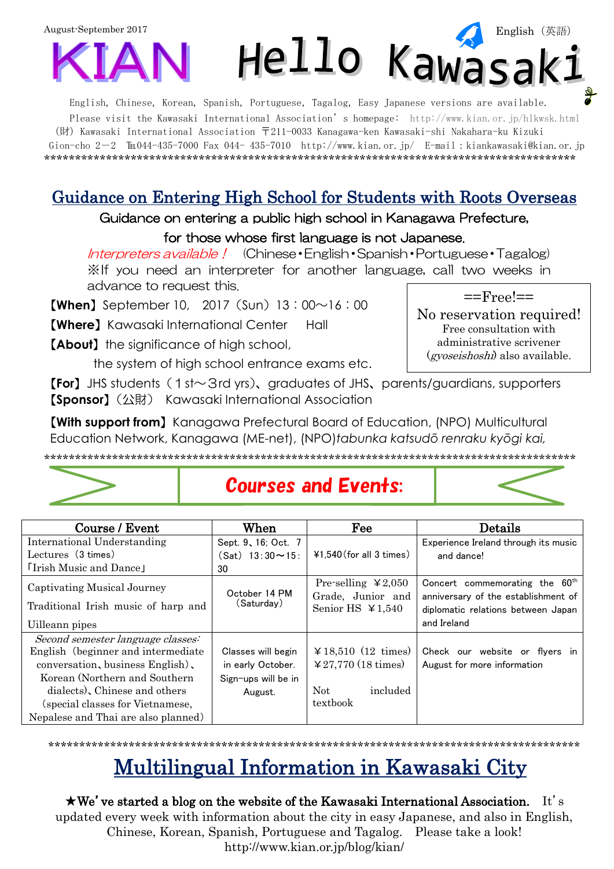

English, Chinese, Korean, Spanish, Portuguese, Tagalog, Easy Japanese versions are available. Please visit the Kawasaki International Association's homepage: <http://www.kian.or.jp/hlkwsk.html> (財) Kawasaki International Association 〒211-0033 Kanagawa-ken Kawasaki-shi Nakahara-ku Kizuki Gion-cho 2-2  $\text{Im}044-435-7000$  Fax 044- 435-7010 <http://www.kian.or.jp/>E-mail:kiankawasaki@kian.or.jp \*\*\*\*\*\*\*\*\*\*\*\*\*\*\*\*\*\*\*\*\*\*\*\*\*\*\*\*\*\*\*\*\*\*\*\*\*\*\*\*\*\*\*\*\*\*\*\*\*\*\*\*\*\*\*\*\*\*\*\*\*\*\*\*\*\*\*\*\*\*\*\*\*\*\*\*\*\*\*\*\*\*\*\*\*\*

### Guidance on Entering High School for Students with Roots Overseas

Guidance on entering a public high school in Kanagawa Prefecture,

#### for those whose first language is not Japanese.

Interpreters available! (Chinese・English・Spanish・Portuguese・Tagalog) ※If you need an interpreter for another language, call two weeks in advance to request this.

**[When]** September 10, 2017 (Sun)  $13:00 \sim 16:00$ 

【**Where**】Kawasaki International Center Hall

【**About**】the significance of high school,

the system of high school entrance exams etc.

【**For**】JHS students(1st~3rd yrs)、graduates of JHS、parents/guardians, supporters 【**Sponsor**】(公財) Kawasaki International Association

【**With support from**】Kanagawa Prefectural Board of Education, (NPO) Multicultural Education Network, Kanagawa (ME-net), (NPO)*tabunka katsudō renraku kyōgi kai,*

\*\*\*\*\*\*\*\*\*\*\*\*\*\*\*\*\*\*\*\*\*\*\*\*\*\*\*\*\*\*\*\*\*\*\*\*\*\*\*\*\*\*\*\*\*\*\*\*\*\*\*\*\*\*\*\*\*\*\*\*\*\*\*\*\*\*\*\*\*\*\*\*\*\*\*\*\*\*\*\*\*\*\*\*\*\*



## Courses and Events:

| Course / Event                      | When                     | Fee                                           | Details                                                                           |  |
|-------------------------------------|--------------------------|-----------------------------------------------|-----------------------------------------------------------------------------------|--|
| International Understanding         | Sept. 9, 16; Oct. 7      |                                               | Experience Ireland through its music                                              |  |
| Lectures (3 times)                  | $(Sat)$ 13:30 $\sim$ 15: | $41,540$ (for all 3 times)                    | and dance!                                                                        |  |
| <b>Trish Music and Dance</b>        | 30                       |                                               |                                                                                   |  |
| Captivating Musical Journey         | October 14 PM            | Pre-selling $\yen$ 2,050<br>Grade, Junior and | Concert commemorating the 60 <sup>th</sup><br>anniversary of the establishment of |  |
| Traditional Irish music of harp and | (Saturday)               | Senior HS $\textless 1,540$                   | diplomatic relations between Japan                                                |  |
| Uilleann pipes                      |                          |                                               | and Ireland                                                                       |  |
| Second semester language classes:   |                          |                                               |                                                                                   |  |
| English (beginner and intermediate) | Classes will begin       | $\textless 18,510 (12 \text{ times})$         | Check our website or flyers in                                                    |  |
| conversation, business English),    | in early October.        | $\textless 27,770 (18 \text{ times})$         | August for more information                                                       |  |
| Korean (Northern and Southern)      | Sign-ups will be in      |                                               |                                                                                   |  |
| dialects). Chinese and others       | August.                  | Not<br>included                               |                                                                                   |  |
| (special classes for Vietnamese,    |                          | textbook                                      |                                                                                   |  |
| Nepalese and Thai are also planned) |                          |                                               |                                                                                   |  |

# Multilingual Information in Kawasaki City

\*\*\*\*\*\*\*\*\*\*\*\*\*\*\*\*\*\*\*\*\*\*\*\*\*\*\*\*\*\*\*\*\*\*\*\*\*\*\*\*\*\*\*\*\*\*\*\*\*\*\*\*\*\*\*\*\*\*\*\*\*\*\*\*\*\*\*\*\*\*\*\*\*\*\*\*\*\*\*\*\*\*\*\*\*\*

 $\star$ We've started a blog on the website of the Kawasaki International Association. It's updated every week with information about the city in easy Japanese, and also in English, Chinese, Korean, Spanish, Portuguese and Tagalog. Please take a look! <http://www.kian.or.jp/blog/kian/>

 $==Free!=$ 

No reservation required! Free consultation with administrative scrivener (gyoseishoshi) also available.